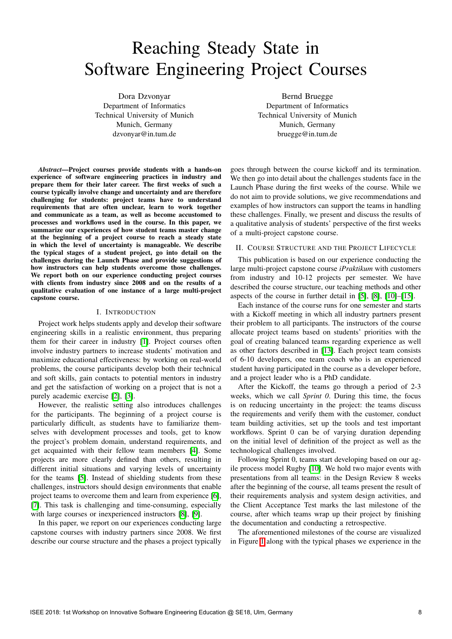# Reaching Steady State in Software Engineering Project Courses

Dora Dzvonyar Department of Informatics Technical University of Munich Munich, Germany dzvonyar@in.tum.de

Bernd Bruegge Department of Informatics Technical University of Munich Munich, Germany bruegge@in.tum.de

*Abstract*—Project courses provide students with a hands-on experience of software engineering practices in industry and prepare them for their later career. The first weeks of such a course typically involve change and uncertainty and are therefore challenging for students: project teams have to understand requirements that are often unclear, learn to work together and communicate as a team, as well as become accustomed to processes and workflows used in the course. In this paper, we summarize our experiences of how student teams master change at the beginning of a project course to reach a steady state in which the level of uncertainty is manageable. We describe the typical stages of a student project, go into detail on the challenges during the Launch Phase and provide suggestions of how instructors can help students overcome those challenges. We report both on our experience conducting project courses with clients from industry since 2008 and on the results of a qualitative evaluation of one instance of a large multi-project capstone course.

#### I. INTRODUCTION

Project work helps students apply and develop their software engineering skills in a realistic environment, thus preparing them for their career in industry  $\|\cdot\|$ . Project courses often involve industry partners to increase students' motivation and maximize educational effectiveness: by working on real-world problems, the course participants develop both their technical and soft skills, gain contacts to potential mentors in industry and get the satisfaction of working on a project that is not a purely academic exercise  $[2]$ ,  $[3]$ .

However, the realistic setting also introduces challenges for the participants. The beginning of a project course is particularly difficult, as students have to familiarize themselves with development processes and tools, get to know the project's problem domain, understand requirements, and get acquainted with their fellow team members  $[4]$ . Some projects are more clearly defined than others, resulting in different initial situations and varying levels of uncertainty for the teams  $\|\mathbf{5}\|$ . Instead of shielding students from these challenges, instructors should design environments that enable project teams to overcome them and learn from experience [\[6\]](#page--1-5),  $\sqrt{7}$ . This task is challenging and time-consuming, especially with large courses or inexperienced instructors  $[8]$ ,  $[9]$ .

In this paper, we report on our experiences conducting large capstone courses with industry partners since 2008. We first describe our course structure and the phases a project typically

goes through between the course kickoff and its termination. We then go into detail about the challenges students face in the Launch Phase during the first weeks of the course. While we do not aim to provide solutions, we give recommendations and examples of how instructors can support the teams in handling these challenges. Finally, we present and discuss the results of a qualitative analysis of students' perspective of the first weeks of a multi-project capstone course.

## II. COURSE STRUCTURE AND THE PROJECT LIFECYCLE

This publication is based on our experience conducting the large multi-project capstone course *iPraktikum* with customers from industry and 10-12 projects per semester. We have described the course structure, our teaching methods and other aspects of the course in further detail in  $[5]$ ,  $[8]$ ,  $[10]$ – $[15]$ .

Each instance of the course runs for one semester and starts with a Kickoff meeting in which all industry partners present their problem to all participants. The instructors of the course allocate project teams based on students' priorities with the goal of creating balanced teams regarding experience as well as other factors described in  $\left[\overline{13}\right]$ . Each project team consists of 6-10 developers, one team coach who is an experienced student having participated in the course as a developer before, and a project leader who is a PhD candidate.

After the Kickoff, the teams go through a period of 2-3 weeks, which we call *Sprint 0*. During this time, the focus is on reducing uncertainty in the project: the teams discuss the requirements and verify them with the customer, conduct team building activities, set up the tools and test important workflows. Sprint 0 can be of varying duration depending on the initial level of definition of the project as well as the technological challenges involved.

Following Sprint 0, teams start developing based on our agile process model Rugby [\[10\]](#page--1-9). We hold two major events with presentations from all teams: in the Design Review 8 weeks after the beginning of the course, all teams present the result of their requirements analysis and system design activities, and the Client Acceptance Test marks the last milestone of the course, after which teams wrap up their project by finishing the documentation and conducting a retrospective.

The aforementioned milestones of the course are visualized in Figure  $\overline{1}$  along with the typical phases we experience in the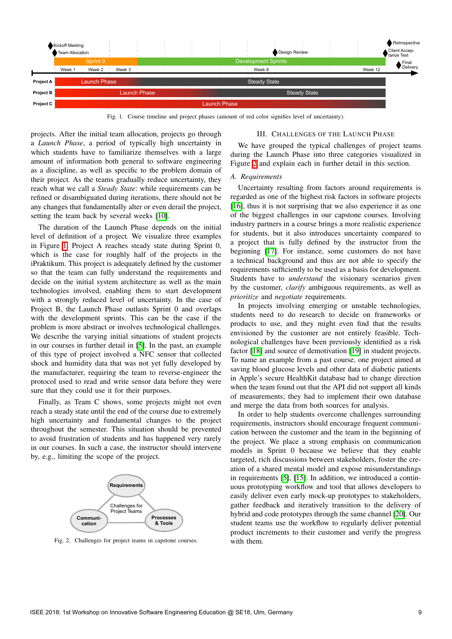

Fig. 1. Course timeline and project phases (amount of red color signifies level of uncertainty).

projects. After the initial team allocation, projects go through a *Launch Phase*, a period of typically high uncertainty in which students have to familiarize themselves with a large amount of information both general to software engineering as a discipline, as well as specific to the problem domain of their project. As the teams gradually reduce uncertainty, they reach what we call a *Steady State*: while requirements can be refined or disambiguated during iterations, there should not be any changes that fundamentally alter or even derail the project, setting the team back by several weeks  $[10]$ .

The duration of the Launch Phase depends on the initial level of definition of a project. We visualize three examples in Figure  $\boxed{1}$  Project A reaches steady state during Sprint 0, which is the case for roughly half of the projects in the iPraktikum. This project is adequately defined by the customer so that the team can fully understand the requirements and decide on the initial system architecture as well as the main technologies involved, enabling them to start development with a strongly reduced level of uncertainty. In the case of Project B, the Launch Phase outlasts Sprint 0 and overlaps with the development sprints. This can be the case if the problem is more abstract or involves technological challenges. We describe the varying initial situations of student projects in our courses in further detail in  $[5]$ . In the past, an example of this type of project involved a NFC sensor that collected shock and humidity data that was not yet fully developed by the manufacturer, requiring the team to reverse-engineer the protocol used to read and write sensor data before they were sure that they could use it for their purposes.

Finally, as Team C shows, some projects might not even reach a steady state until the end of the course due to extremely high uncertainty and fundamental changes to the project throughout the semester. This situation should be prevented to avoid frustration of students and has happened very rarely in our courses. In such a case, the instructor should intervene by, e.g., limiting the scope of the project.



Fig. 2. Challenges for project teams in capstone courses.

#### III. CHALLENGES OF THE LAUNCH PHASE

We have grouped the typical challenges of project teams during the Launch Phase into three categories visualized in Figure  $\sqrt{2}$  and explain each in further detail in this section.

#### *A. Requirements*

Uncertainty resulting from factors around requirements is regarded as one of the highest risk factors in software projects [\[16\]](#page--1-14), thus it is not surprising that we also experience it as one of the biggest challenges in our capstone courses. Involving industry partners in a course brings a more realistic experience for students, but it also introduces uncertainty compared to a project that is fully defined by the instructor from the beginning [\[17\]](#page--1-15). For instance, some customers do not have a technical background and thus are not able to specify the requirements sufficiently to be used as a basis for development. Students have to *understand* the visionary scenarios given by the customer, *clarify* ambiguous requirements, as well as *prioritize* and *negotiate* requirements.

In projects involving emerging or unstable technologies, students need to do research to decide on frameworks or products to use, and they might even find that the results envisioned by the customer are not entirely feasible. Technological challenges have been previously identified as a risk factor [\[18\]](#page--1-16) and source of demotivation [\[19\]](#page--1-17) in student projects. To name an example from a past course, one project aimed at saving blood glucose levels and other data of diabetic patients in Apple's secure HealthKit database had to change direction when the team found out that the API did not support all kinds of measurements; they had to implement their own database and merge the data from both sources for analysis.

In order to help students overcome challenges surrounding requirements, instructors should encourage frequent communication between the customer and the team in the beginning of the project. We place a strong emphasis on communication models in Sprint 0 because we believe that they enable targeted, rich discussions between stakeholders, foster the creation of a shared mental model and expose misunderstandings in requirements  $\overline{5}$ ,  $\overline{15}$ . In addition, we introduced a continuous prototyping workflow and tool that allows developers to easily deliver even early mock-up prototypes to stakeholders, gather feedback and iteratively transition to the delivery of hybrid and code prototypes through the same channel [\[20\]](#page--1-18). Our student teams use the workflow to regularly deliver potential product increments to their customer and verify the progress with them.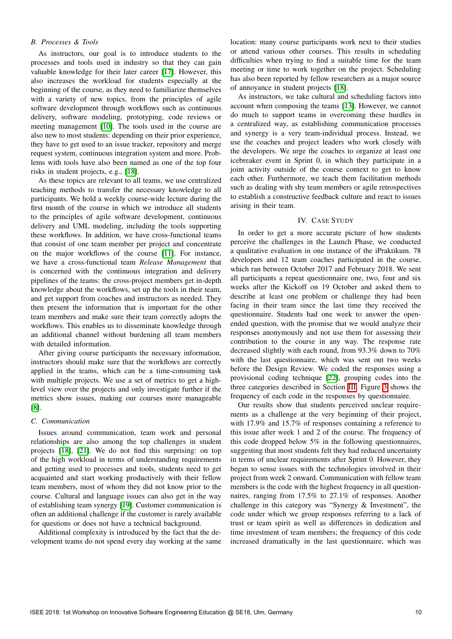## *B. Processes & Tools*

As instructors, our goal is to introduce students to the processes and tools used in industry so that they can gain valuable knowledge for their later career  $[17]$ . However, this also increases the workload for students especially at the beginning of the course, as they need to familiarize themselves with a variety of new topics, from the principles of agile software development through workflows such as continuous delivery, software modeling, prototyping, code reviews or meeting management  $\vert\vert\overline{\vert 10}\vert\vert$ . The tools used in the course are also new to most students: depending on their prior experience, they have to get used to an issue tracker, repository and merge request system, continuous integration system and more. Problems with tools have also been named as one of the top four risks in student projects, e.g., [\[18\]](#page--1-16).

As these topics are relevant to all teams, we use centralized teaching methods to transfer the necessary knowledge to all participants. We hold a weekly course-wide lecture during the first month of the course in which we introduce all students to the principles of agile software development, continuous delivery and UML modeling, including the tools supporting these workflows. In addition, we have cross-functional teams that consist of one team member per project and concentrate on the major workflows of the course  $[11]$ . For instance, we have a cross-functional team *Release Management* that is concerned with the continuous integration and delivery pipelines of the teams: the cross-project members get in-depth knowledge about the workflows, set up the tools in their team, and get support from coaches and instructors as needed. They then present the information that is important for the other team members and make sure their team correctly adopts the workflows. This enables us to disseminate knowledge through an additional channel without burdening all team members with detailed information.

After giving course participants the necessary information, instructors should make sure that the workflows are correctly applied in the teams, which can be a time-consuming task with multiple projects. We use a set of metrics to get a highlevel view over the projects and only investigate further if the metrics show issues, making our courses more manageable  $[8]$ .

## *C. Communication*

Issues around communication, team work and personal relationships are also among the top challenges in student projects [\[18\]](#page--1-16), [\[21\]](#page--1-20). We do not find this surprising: on top of the high workload in terms of understanding requirements and getting used to processes and tools, students need to get acquainted and start working productively with their fellow team members, most of whom they did not know prior to the course. Cultural and language issues can also get in the way of establishing team synergy [\[19\]](#page--1-17). Customer communication is often an additional challenge if the customer is rarely available for questions or does not have a technical background.

Additional complexity is introduced by the fact that the development teams do not spend every day working at the same location: many course participants work next to their studies or attend various other courses. This results in scheduling difficulties when trying to find a suitable time for the team meeting or time to work together on the project. Scheduling has also been reported by fellow researchers as a major source of annoyance in student projects [\[18\]](#page--1-16).

As instructors, we take cultural and scheduling factors into account when composing the teams  $[13]$ . However, we cannot do much to support teams in overcoming these hurdles in a centralized way, as establishing communication processes and synergy is a very team-individual process. Instead, we use the coaches and project leaders who work closely with the developers. We urge the coaches to organize at least one icebreaker event in Sprint 0, in which they participate in a joint activity outside of the course context to get to know each other. Furthermore, we teach them facilitation methods such as dealing with shy team members or agile retrospectives to establish a constructive feedback culture and react to issues arising in their team.

## IV. CASE STUDY

In order to get a more accurate picture of how students perceive the challenges in the Launch Phase, we conducted a qualitative evaluation in one instance of the iPraktikum. 78 developers and 12 team coaches participated in the course, which ran between October 2017 and February 2018. We sent all participants a repeat questionnaire one, two, four and six weeks after the Kickoff on 19 October and asked them to describe at least one problem or challenge they had been facing in their team since the last time they received the questionnaire. Students had one week to answer the openended question, with the promise that we would analyze their responses anonymously and not use them for assessing their contribution to the course in any way. The response rate decreased slightly with each round, from 93.3% down to 70% with the last questionnaire, which was sent out two weeks before the Design Review. We coded the responses using a provisional coding technique  $[22]$ , grouping codes into the three categories described in Section  $\boxed{III}$ . Figure  $\boxed{3}$  shows the frequency of each code in the responses by questionnaire.

Our results show that students perceived unclear requirements as a challenge at the very beginning of their project, with 17.9% and 15.7% of responses containing a reference to this issue after week 1 and 2 of the course. The frequency of this code dropped below 5% in the following questionnaires, suggesting that most students felt they had reduced uncertainty in terms of unclear requirements after Sprint 0. However, they began to sense issues with the technologies involved in their project from week 2 onward. Communication with fellow team members is the code with the highest frequency in all questionnaires, ranging from 17.5% to 27.1% of responses. Another challenge in this category was "Synergy & Investment", the code under which we group responses referring to a lack of trust or team spirit as well as differences in dedication and time investment of team members; the frequency of this code increased dramatically in the last questionnaire, which was